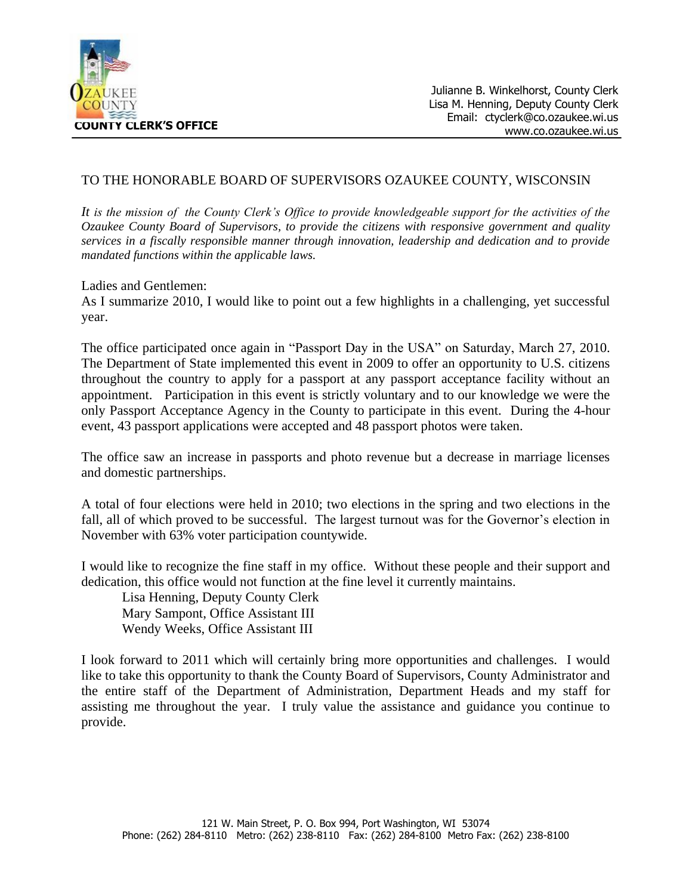

# TO THE HONORABLE BOARD OF SUPERVISORS OZAUKEE COUNTY, WISCONSIN

*It is the mission of the County Clerk's Office to provide knowledgeable support for the activities of the Ozaukee County Board of Supervisors, to provide the citizens with responsive government and quality services in a fiscally responsible manner through innovation, leadership and dedication and to provide mandated functions within the applicable laws.*

#### Ladies and Gentlemen:

As I summarize 2010, I would like to point out a few highlights in a challenging, yet successful year.

The office participated once again in "Passport Day in the USA" on Saturday, March 27, 2010. The Department of State implemented this event in 2009 to offer an opportunity to U.S. citizens throughout the country to apply for a passport at any passport acceptance facility without an appointment.Participation in this event is strictly voluntary and to our knowledge we were the only Passport Acceptance Agency in the County to participate in this event.During the 4-hour event, 43 passport applications were accepted and 48 passport photos were taken.

The office saw an increase in passports and photo revenue but a decrease in marriage licenses and domestic partnerships.

A total of four elections were held in 2010; two elections in the spring and two elections in the fall, all of which proved to be successful. The largest turnout was for the Governor's election in November with 63% voter participation countywide.

I would like to recognize the fine staff in my office. Without these people and their support and dedication, this office would not function at the fine level it currently maintains.

Lisa Henning, Deputy County Clerk Mary Sampont, Office Assistant III Wendy Weeks, Office Assistant III

I look forward to 2011 which will certainly bring more opportunities and challenges. I would like to take this opportunity to thank the County Board of Supervisors, County Administrator and the entire staff of the Department of Administration, Department Heads and my staff for assisting me throughout the year. I truly value the assistance and guidance you continue to provide.